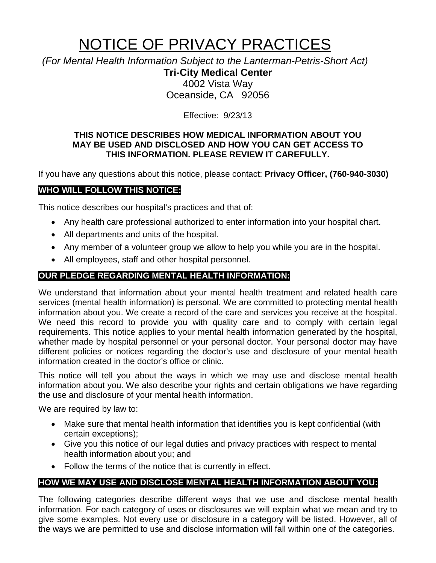# NOTICE OF PRIVACY PRACTICES

*(For Mental Health Information Subject to the Lanterman-Petris-Short Act)*

**Tri-City Medical Center** 4002 Vista Way

Oceanside, CA 92056

Effective: 9/23/13

#### **THIS NOTICE DESCRIBES HOW MEDICAL INFORMATION ABOUT YOU MAY BE USED AND DISCLOSED AND HOW YOU CAN GET ACCESS TO THIS INFORMATION. PLEASE REVIEW IT CAREFULLY.**

If you have any questions about this notice, please contact: **Privacy Officer, (760-940-3030)**

# **WHO WILL FOLLOW THIS NOTICE:**

This notice describes our hospital's practices and that of:

- Any health care professional authorized to enter information into your hospital chart.
- All departments and units of the hospital.
- Any member of a volunteer group we allow to help you while you are in the hospital.
- All employees, staff and other hospital personnel.

## **OUR PLEDGE REGARDING MENTAL HEALTH INFORMATION:**

We understand that information about your mental health treatment and related health care services (mental health information) is personal. We are committed to protecting mental health information about you. We create a record of the care and services you receive at the hospital. We need this record to provide you with quality care and to comply with certain legal requirements. This notice applies to your mental health information generated by the hospital, whether made by hospital personnel or your personal doctor. Your personal doctor may have different policies or notices regarding the doctor's use and disclosure of your mental health information created in the doctor's office or clinic.

This notice will tell you about the ways in which we may use and disclose mental health information about you. We also describe your rights and certain obligations we have regarding the use and disclosure of your mental health information.

We are required by law to:

- Make sure that mental health information that identifies you is kept confidential (with certain exceptions);
- Give you this notice of our legal duties and privacy practices with respect to mental health information about you; and
- Follow the terms of the notice that is currently in effect.

# **HOW WE MAY USE AND DISCLOSE MENTAL HEALTH INFORMATION ABOUT YOU:**

The following categories describe different ways that we use and disclose mental health information. For each category of uses or disclosures we will explain what we mean and try to give some examples. Not every use or disclosure in a category will be listed. However, all of the ways we are permitted to use and disclose information will fall within one of the categories.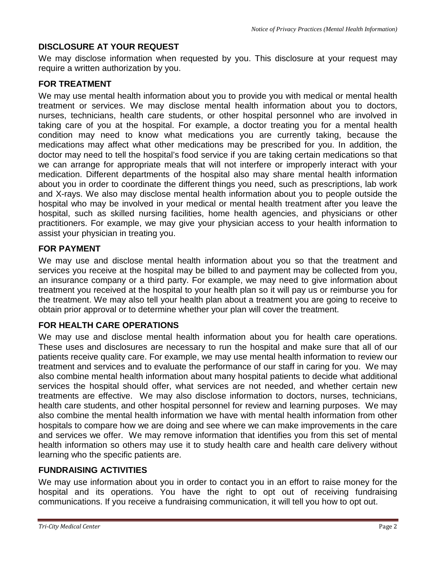## **DISCLOSURE AT YOUR REQUEST**

We may disclose information when requested by you. This disclosure at your request may require a written authorization by you.

### **FOR TREATMENT**

We may use mental health information about you to provide you with medical or mental health treatment or services. We may disclose mental health information about you to doctors, nurses, technicians, health care students, or other hospital personnel who are involved in taking care of you at the hospital. For example, a doctor treating you for a mental health condition may need to know what medications you are currently taking, because the medications may affect what other medications may be prescribed for you. In addition, the doctor may need to tell the hospital's food service if you are taking certain medications so that we can arrange for appropriate meals that will not interfere or improperly interact with your medication. Different departments of the hospital also may share mental health information about you in order to coordinate the different things you need, such as prescriptions, lab work and X-rays. We also may disclose mental health information about you to people outside the hospital who may be involved in your medical or mental health treatment after you leave the hospital, such as skilled nursing facilities, home health agencies, and physicians or other practitioners. For example, we may give your physician access to your health information to assist your physician in treating you.

## **FOR PAYMENT**

We may use and disclose mental health information about you so that the treatment and services you receive at the hospital may be billed to and payment may be collected from you, an insurance company or a third party. For example, we may need to give information about treatment you received at the hospital to your health plan so it will pay us or reimburse you for the treatment. We may also tell your health plan about a treatment you are going to receive to obtain prior approval or to determine whether your plan will cover the treatment.

## **FOR HEALTH CARE OPERATIONS**

We may use and disclose mental health information about you for health care operations. These uses and disclosures are necessary to run the hospital and make sure that all of our patients receive quality care. For example, we may use mental health information to review our treatment and services and to evaluate the performance of our staff in caring for you. We may also combine mental health information about many hospital patients to decide what additional services the hospital should offer, what services are not needed, and whether certain new treatments are effective. We may also disclose information to doctors, nurses, technicians, health care students, and other hospital personnel for review and learning purposes. We may also combine the mental health information we have with mental health information from other hospitals to compare how we are doing and see where we can make improvements in the care and services we offer. We may remove information that identifies you from this set of mental health information so others may use it to study health care and health care delivery without learning who the specific patients are.

#### **FUNDRAISING ACTIVITIES**

We may use information about you in order to contact you in an effort to raise money for the hospital and its operations. You have the right to opt out of receiving fundraising communications. If you receive a fundraising communication, it will tell you how to opt out.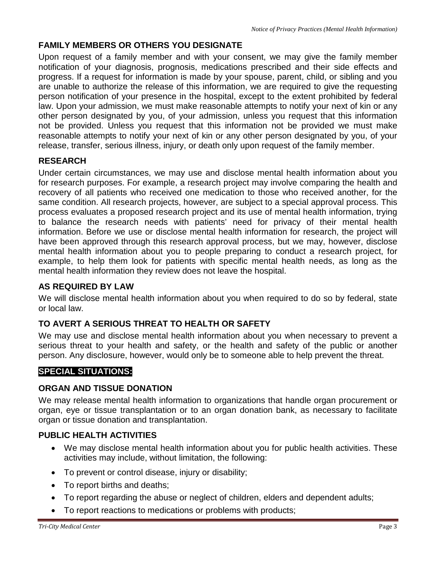# **FAMILY MEMBERS OR OTHERS YOU DESIGNATE**

Upon request of a family member and with your consent, we may give the family member notification of your diagnosis, prognosis, medications prescribed and their side effects and progress. If a request for information is made by your spouse, parent, child, or sibling and you are unable to authorize the release of this information, we are required to give the requesting person notification of your presence in the hospital, except to the extent prohibited by federal law. Upon your admission, we must make reasonable attempts to notify your next of kin or any other person designated by you, of your admission, unless you request that this information not be provided. Unless you request that this information not be provided we must make reasonable attempts to notify your next of kin or any other person designated by you, of your release, transfer, serious illness, injury, or death only upon request of the family member.

# **RESEARCH**

Under certain circumstances, we may use and disclose mental health information about you for research purposes. For example, a research project may involve comparing the health and recovery of all patients who received one medication to those who received another, for the same condition. All research projects, however, are subject to a special approval process. This process evaluates a proposed research project and its use of mental health information, trying to balance the research needs with patients' need for privacy of their mental health information. Before we use or disclose mental health information for research, the project will have been approved through this research approval process, but we may, however, disclose mental health information about you to people preparing to conduct a research project, for example, to help them look for patients with specific mental health needs, as long as the mental health information they review does not leave the hospital.

## **AS REQUIRED BY LAW**

We will disclose mental health information about you when required to do so by federal, state or local law.

# **TO AVERT A SERIOUS THREAT TO HEALTH OR SAFETY**

We may use and disclose mental health information about you when necessary to prevent a serious threat to your health and safety, or the health and safety of the public or another person. Any disclosure, however, would only be to someone able to help prevent the threat.

# **SPECIAL SITUATIONS:**

## **ORGAN AND TISSUE DONATION**

We may release mental health information to organizations that handle organ procurement or organ, eye or tissue transplantation or to an organ donation bank, as necessary to facilitate organ or tissue donation and transplantation.

## **PUBLIC HEALTH ACTIVITIES**

- We may disclose mental health information about you for public health activities. These activities may include, without limitation, the following:
- To prevent or control disease, injury or disability;
- To report births and deaths;
- To report regarding the abuse or neglect of children, elders and dependent adults;
- To report reactions to medications or problems with products;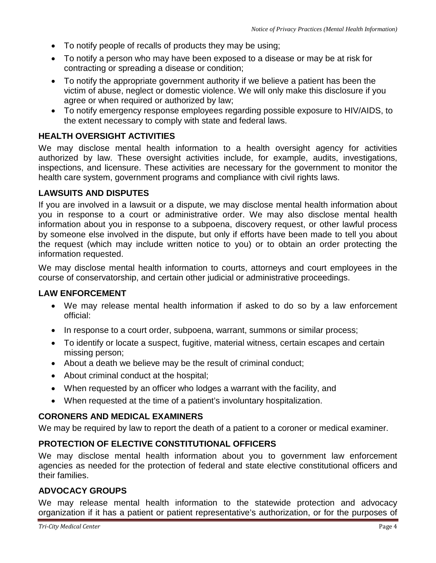- To notify people of recalls of products they may be using;
- To notify a person who may have been exposed to a disease or may be at risk for contracting or spreading a disease or condition;
- To notify the appropriate government authority if we believe a patient has been the victim of abuse, neglect or domestic violence. We will only make this disclosure if you agree or when required or authorized by law;
- To notify emergency response employees regarding possible exposure to HIV/AIDS, to the extent necessary to comply with state and federal laws.

## **HEALTH OVERSIGHT ACTIVITIES**

We may disclose mental health information to a health oversight agency for activities authorized by law. These oversight activities include, for example, audits, investigations, inspections, and licensure. These activities are necessary for the government to monitor the health care system, government programs and compliance with civil rights laws.

#### **LAWSUITS AND DISPUTES**

If you are involved in a lawsuit or a dispute, we may disclose mental health information about you in response to a court or administrative order. We may also disclose mental health information about you in response to a subpoena, discovery request, or other lawful process by someone else involved in the dispute, but only if efforts have been made to tell you about the request (which may include written notice to you) or to obtain an order protecting the information requested.

We may disclose mental health information to courts, attorneys and court employees in the course of conservatorship, and certain other judicial or administrative proceedings.

#### **LAW ENFORCEMENT**

- We may release mental health information if asked to do so by a law enforcement official:
- In response to a court order, subpoena, warrant, summons or similar process;
- To identify or locate a suspect, fugitive, material witness, certain escapes and certain missing person;
- About a death we believe may be the result of criminal conduct;
- About criminal conduct at the hospital;
- When requested by an officer who lodges a warrant with the facility, and
- When requested at the time of a patient's involuntary hospitalization.

#### **CORONERS AND MEDICAL EXAMINERS**

We may be required by law to report the death of a patient to a coroner or medical examiner.

#### **PROTECTION OF ELECTIVE CONSTITUTIONAL OFFICERS**

We may disclose mental health information about you to government law enforcement agencies as needed for the protection of federal and state elective constitutional officers and their families.

#### **ADVOCACY GROUPS**

We may release mental health information to the statewide protection and advocacy organization if it has a patient or patient representative's authorization, or for the purposes of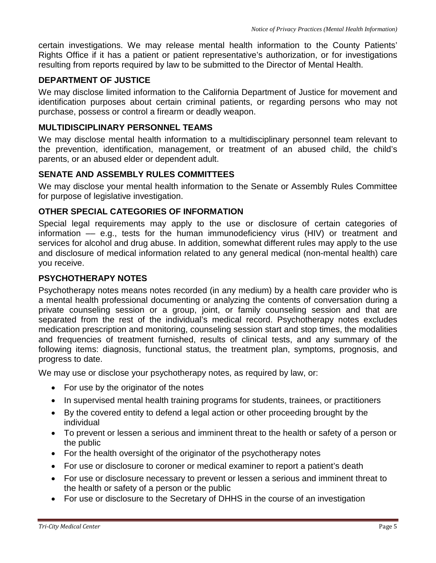certain investigations. We may release mental health information to the County Patients' Rights Office if it has a patient or patient representative's authorization, or for investigations resulting from reports required by law to be submitted to the Director of Mental Health.

#### **DEPARTMENT OF JUSTICE**

We may disclose limited information to the California Department of Justice for movement and identification purposes about certain criminal patients, or regarding persons who may not purchase, possess or control a firearm or deadly weapon.

#### **MULTIDISCIPLINARY PERSONNEL TEAMS**

We may disclose mental health information to a multidisciplinary personnel team relevant to the prevention, identification, management, or treatment of an abused child, the child's parents, or an abused elder or dependent adult.

#### **SENATE AND ASSEMBLY RULES COMMITTEES**

We may disclose your mental health information to the Senate or Assembly Rules Committee for purpose of legislative investigation.

#### **OTHER SPECIAL CATEGORIES OF INFORMATION**

Special legal requirements may apply to the use or disclosure of certain categories of information –– e.g., tests for the human immunodeficiency virus (HIV) or treatment and services for alcohol and drug abuse. In addition, somewhat different rules may apply to the use and disclosure of medical information related to any general medical (non-mental health) care you receive.

#### **PSYCHOTHERAPY NOTES**

Psychotherapy notes means notes recorded (in any medium) by a health care provider who is a mental health professional documenting or analyzing the contents of conversation during a private counseling session or a group, joint, or family counseling session and that are separated from the rest of the individual's medical record. Psychotherapy notes excludes medication prescription and monitoring, counseling session start and stop times, the modalities and frequencies of treatment furnished, results of clinical tests, and any summary of the following items: diagnosis, functional status, the treatment plan, symptoms, prognosis, and progress to date.

We may use or disclose your psychotherapy notes, as required by law, or:

- For use by the originator of the notes
- In supervised mental health training programs for students, trainees, or practitioners
- By the covered entity to defend a legal action or other proceeding brought by the individual
- To prevent or lessen a serious and imminent threat to the health or safety of a person or the public
- For the health oversight of the originator of the psychotherapy notes
- For use or disclosure to coroner or medical examiner to report a patient's death
- For use or disclosure necessary to prevent or lessen a serious and imminent threat to the health or safety of a person or the public
- For use or disclosure to the Secretary of DHHS in the course of an investigation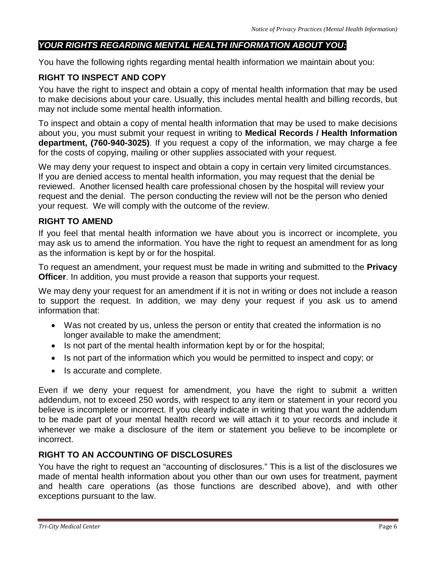## *YOUR RIGHTS REGARDING MENTAL HEALTH INFORMATION ABOUT YOU:*

You have the following rights regarding mental health information we maintain about you:

## **RIGHT TO INSPECT AND COPY**

You have the right to inspect and obtain a copy of mental health information that may be used to make decisions about your care. Usually, this includes mental health and billing records, but may not include some mental health information.

To inspect and obtain a copy of mental health information that may be used to make decisions about you, you must submit your request in writing to **Medical Records / Health Information department, (760-940-3025)**. If you request a copy of the information, we may charge a fee for the costs of copying, mailing or other supplies associated with your request.

We may deny your request to inspect and obtain a copy in certain very limited circumstances. If you are denied access to mental health information, you may request that the denial be reviewed. Another licensed health care professional chosen by the hospital will review your request and the denial. The person conducting the review will not be the person who denied your request. We will comply with the outcome of the review.

#### **RIGHT TO AMEND**

If you feel that mental health information we have about you is incorrect or incomplete, you may ask us to amend the information. You have the right to request an amendment for as long as the information is kept by or for the hospital.

To request an amendment, your request must be made in writing and submitted to the **Privacy Officer**. In addition, you must provide a reason that supports your request.

We may deny your request for an amendment if it is not in writing or does not include a reason to support the request. In addition, we may deny your request if you ask us to amend information that:

- Was not created by us, unless the person or entity that created the information is no longer available to make the amendment;
- Is not part of the mental health information kept by or for the hospital;
- Is not part of the information which you would be permitted to inspect and copy; or
- Is accurate and complete.

Even if we deny your request for amendment, you have the right to submit a written addendum, not to exceed 250 words, with respect to any item or statement in your record you believe is incomplete or incorrect. If you clearly indicate in writing that you want the addendum to be made part of your mental health record we will attach it to your records and include it whenever we make a disclosure of the item or statement you believe to be incomplete or incorrect.

#### **RIGHT TO AN ACCOUNTING OF DISCLOSURES**

You have the right to request an "accounting of disclosures." This is a list of the disclosures we made of mental health information about you other than our own uses for treatment, payment and health care operations (as those functions are described above), and with other exceptions pursuant to the law.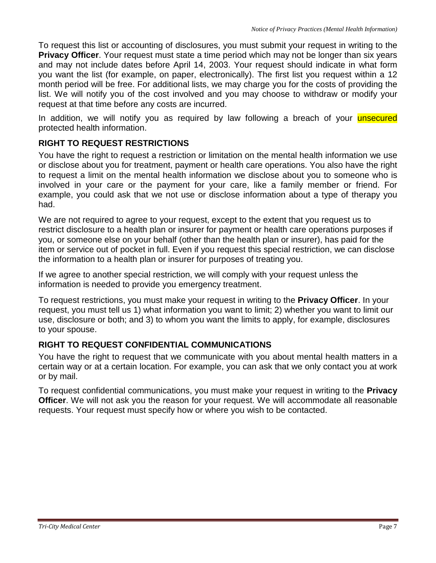To request this list or accounting of disclosures, you must submit your request in writing to the **Privacy Officer**. Your request must state a time period which may not be longer than six years and may not include dates before April 14, 2003. Your request should indicate in what form you want the list (for example, on paper, electronically). The first list you request within a 12 month period will be free. For additional lists, we may charge you for the costs of providing the list. We will notify you of the cost involved and you may choose to withdraw or modify your request at that time before any costs are incurred.

In addition, we will notify you as required by law following a breach of your *unsecured* protected health information.

# **RIGHT TO REQUEST RESTRICTIONS**

You have the right to request a restriction or limitation on the mental health information we use or disclose about you for treatment, payment or health care operations. You also have the right to request a limit on the mental health information we disclose about you to someone who is involved in your care or the payment for your care, like a family member or friend. For example, you could ask that we not use or disclose information about a type of therapy you had.

We are not required to agree to your request, except to the extent that you request us to restrict disclosure to a health plan or insurer for payment or health care operations purposes if you, or someone else on your behalf (other than the health plan or insurer), has paid for the item or service out of pocket in full. Even if you request this special restriction, we can disclose the information to a health plan or insurer for purposes of treating you.

If we agree to another special restriction, we will comply with your request unless the information is needed to provide you emergency treatment.

To request restrictions, you must make your request in writing to the **Privacy Officer**. In your request, you must tell us 1) what information you want to limit; 2) whether you want to limit our use, disclosure or both; and 3) to whom you want the limits to apply, for example, disclosures to your spouse.

## **RIGHT TO REQUEST CONFIDENTIAL COMMUNICATIONS**

You have the right to request that we communicate with you about mental health matters in a certain way or at a certain location. For example, you can ask that we only contact you at work or by mail.

To request confidential communications, you must make your request in writing to the **Privacy Officer**. We will not ask you the reason for your request. We will accommodate all reasonable requests. Your request must specify how or where you wish to be contacted.